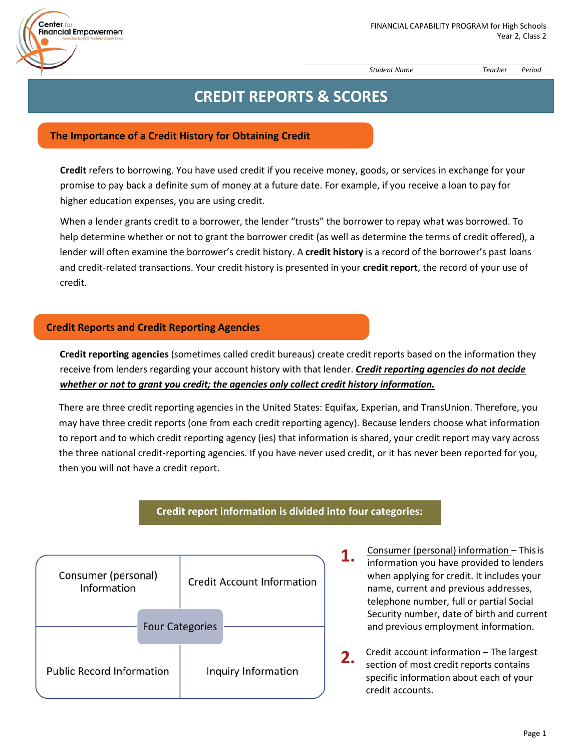

*Student Name Teacher Period*

# **CREDIT REPORTS & SCORES**

## **The Importance of a Credit History for Obtaining Credit**

Center fo

Financial Empowerment

**Credit** refers to borrowing. You have used credit if you receive money, goods, or services in exchange for your promise to pay back a definite sum of money at a future date. For example, if you receive a loan to pay for higher education expenses, you are using credit.

When a lender grants credit to a borrower, the lender "trusts" the borrower to repay what was borrowed. To help determine whether or not to grant the borrower credit (as well as determine the terms of credit offered), a lender will often examine the borrower's credit history. A **credit history** is a record of the borrower's past loans and credit‐related transactions. Your credit history is presented in your **credit report**, the record of your use of credit.

## **Credit Reports and Credit Reporting Agencies**

**Credit reporting agencies** (sometimes called credit bureaus) create credit reports based on the information they receive from lenders regarding your account history with that lender. *Credit reporting agencies do not decide whether or not to grant you credit; the agencies only collect credit history information.*

There are three credit reporting agencies in the United States: Equifax, Experian, and TransUnion. Therefore, you may have three credit reports (one from each credit reporting agency). Because lenders choose what information to report and to which credit reporting agency (ies) that information is shared, your credit report may vary across the three national credit‐reporting agencies. If you have never used credit, or it has never been reported for you, then you will not have a credit report.

# **Credit report information is divided into four categories:**



- **1.** Consumer (personal) information This is<br>information you have provided to lenders when applying for credit. It includes your name, current and previous addresses, telephone number, full or partial Social Security number, date of birth and current and previous employment information.
- **2.** Credit account information The largest<br>contains of meet spellt reports contains section of most credit reports contains specific information about each of your credit accounts.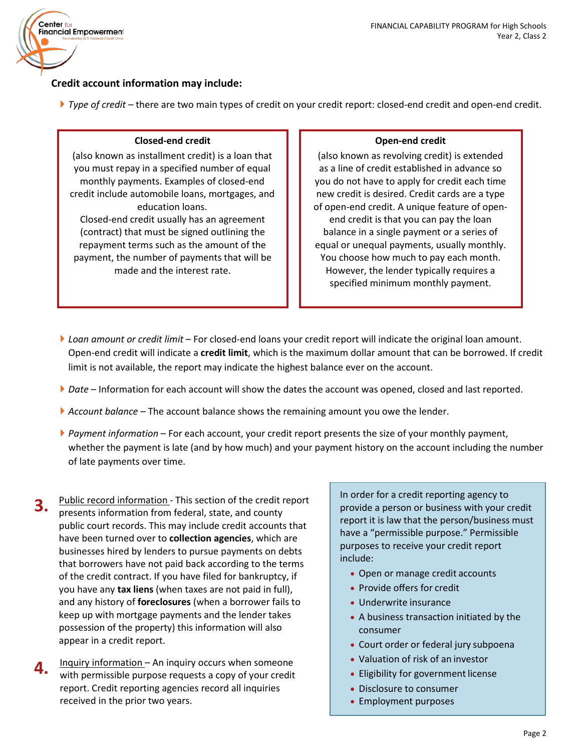

# **Credit account information may include:**

*Type of credit* – there are two main types of credit on your credit report: closed‐end credit and open‐end credit.

#### **Closed‐end credit**

(also known as installment credit) is a loan that you must repay in a specified number of equal monthly payments. Examples of closed‐end credit include automobile loans, mortgages, and education loans. Closed‐end credit usually has an agreement (contract) that must be signed outlining the repayment terms such as the amount of the payment, the number of payments that will be made and the interest rate.

#### **Open‐end credit**

(also known as revolving credit) is extended as a line of credit established in advance so you do not have to apply for credit each time new credit is desired. Credit cards are a type of open‐end credit. A unique feature of open‐ end credit is that you can pay the loan balance in a single payment or a series of equal or unequal payments, usually monthly. You choose how much to pay each month. However, the lender typically requires a specified minimum monthly payment.

- *Loan amount or credit limit*  For closed‐end loans your credit report will indicate the original loan amount. Open‐end credit will indicate a **credit limit**, which is the maximum dollar amount that can be borrowed. If credit limit is not available, the report may indicate the highest balance ever on the account.
- *Date* Information for each account will show the dates the account was opened, closed and last reported.
- *Account balance*  The account balance shows the remaining amount you owe the lender.
- *Payment information*  For each account, your credit report presents the size of your monthly payment, whether the payment is late (and by how much) and your payment history on the account including the number of late payments over time.
- **3.** Public record information ‐ This section of the credit report presents information from federal, state, and county public court records. This may include credit accounts that have been turned over to **collection agencies**, which are businesses hired by lenders to pursue payments on debts that borrowers have not paid back according to the terms of the credit contract. If you have filed for bankruptcy, if you have any **tax liens** (when taxes are not paid in full), and any history of **foreclosures** (when a borrower fails to keep up with mortgage payments and the lender takes possession of the property) this information will also appear in a credit report.
- **4.** Inquiry information An inquiry occurs when someone with permissible purpose requests a copy of your credit report. Credit reporting agencies record all inquiries received in the prior two years.

In order for a credit reporting agency to provide a person or business with your credit report it is law that the person/business must have a "permissible purpose." Permissible purposes to receive your credit report include:

- Open or manage credit accounts
- Provide offers for credit
- Underwrite insurance
- A business transaction initiated by the consumer
- Court order or federal jury subpoena
- Valuation of risk of an investor
- Eligibility for government license
- Disclosure to consumer
- Employment purposes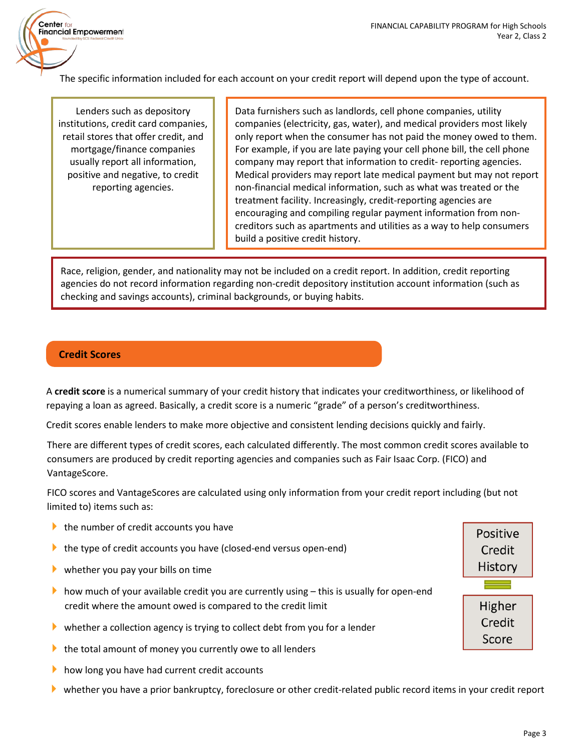

The specific information included for each account on your credit report will depend upon the type of account.

Lenders such as depository institutions, credit card companies, retail stores that offer credit, and mortgage/finance companies usually report all information, positive and negative, to credit reporting agencies.

Data furnishers such as landlords, cell phone companies, utility companies (electricity, gas, water), and medical providers most likely only report when the consumer has not paid the money owed to them. For example, if you are late paying your cell phone bill, the cell phone company may report that information to credit‐ reporting agencies. Medical providers may report late medical payment but may not report non‐financial medical information, such as what was treated or the treatment facility. Increasingly, credit‐reporting agencies are encouraging and compiling regular payment information from non‐ creditors such as apartments and utilities as a way to help consumers build a positive credit history.

Race, religion, gender, and nationality may not be included on a credit report. In addition, credit reporting agencies do not record information regarding non‐credit depository institution account information (such as checking and savings accounts), criminal backgrounds, or buying habits.

# **Credit Scores**

A **credit score** is a numerical summary of your credit history that indicates your creditworthiness, or likelihood of repaying a loan as agreed. Basically, a credit score is a numeric "grade" of a person's creditworthiness.

Credit scores enable lenders to make more objective and consistent lending decisions quickly and fairly.

There are different types of credit scores, each calculated differently. The most common credit scores available to consumers are produced by credit reporting agencies and companies such as Fair Isaac Corp. (FICO) and VantageScore.

FICO scores and VantageScores are calculated using only information from your credit report including (but not limited to) items such as:

- $\blacktriangleright$  the number of credit accounts you have
- **►** the type of credit accounts you have (closed-end versus open-end)
- whether you pay your bills on time
- how much of your available credit you are currently using  $-$  this is usually for open-end credit where the amount owed is compared to the credit limit
- whether a collection agency is trying to collect debt from you for a lender
- $\blacktriangleright$  the total amount of money you currently owe to all lenders
- $\blacktriangleright$  how long you have had current credit accounts
- whether you have a prior bankruptcy, foreclosure or other credit‐related public record items in your credit report

| Positive |  |  |  |  |
|----------|--|--|--|--|
| Credit   |  |  |  |  |
| History  |  |  |  |  |
|          |  |  |  |  |
|          |  |  |  |  |
| Higher   |  |  |  |  |
| Credit   |  |  |  |  |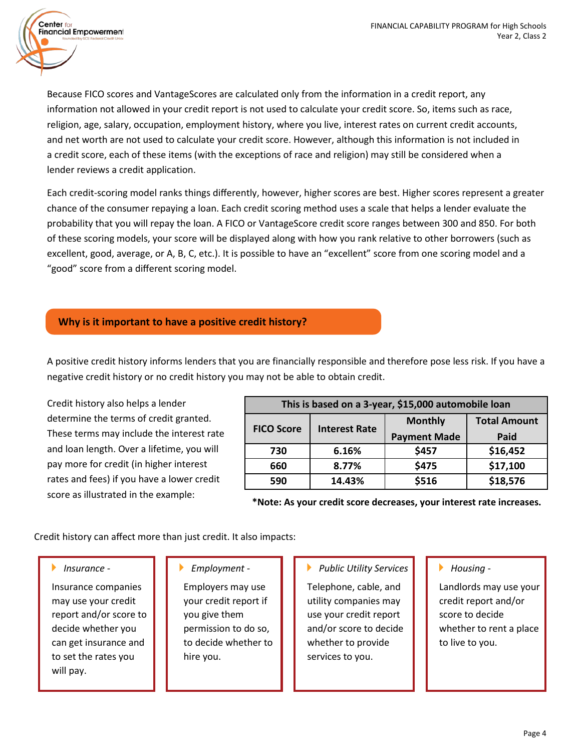Because FICO scores and VantageScores are calculated only from the information in a credit report, any information not allowed in your credit report is not used to calculate your credit score. So, items such as race, religion, age, salary, occupation, employment history, where you live, interest rates on current credit accounts, and net worth are not used to calculate your credit score. However, although this information is not included in a credit score, each of these items (with the exceptions of race and religion) may still be considered when a lender reviews a credit application.

Each credit‐scoring model ranks things differently, however, higher scores are best. Higher scores represent a greater chance of the consumer repaying a loan. Each credit scoring method uses a scale that helps a lender evaluate the probability that you will repay the loan. A FICO or VantageScore credit score ranges between 300 and 850. For both of these scoring models, your score will be displayed along with how you rank relative to other borrowers (such as excellent, good, average, or A, B, C, etc.). It is possible to have an "excellent" score from one scoring model and a "good" score from a different scoring model.

# **Why is it important to have a positive credit history?**

A positive credit history informs lenders that you are financially responsible and therefore pose less risk. If you have a negative credit history or no credit history you may not be able to obtain credit.

Credit history also helps a lender determine the terms of credit granted. These terms may include the interest rate and loan length. Over a lifetime, you will pay more for credit (in higher interest rates and fees) if you have a lower credit score as illustrated in the example:

| This is based on a 3-year, \$15,000 automobile loan |                      |                     |                     |  |  |
|-----------------------------------------------------|----------------------|---------------------|---------------------|--|--|
| <b>FICO Score</b>                                   | <b>Interest Rate</b> | <b>Monthly</b>      | <b>Total Amount</b> |  |  |
|                                                     |                      | <b>Payment Made</b> | Paid                |  |  |
| 730                                                 | 6.16%                | \$457               | \$16,452            |  |  |
| 660                                                 | 8.77%                | \$475               | \$17,100            |  |  |
| 590                                                 | 14.43%               | \$516               | \$18,576            |  |  |

**\*Note: As your credit score decreases, your interest rate increases.**

Credit history can affect more than just credit. It also impacts:

## *Insurance ‐*

 $Center<sub>fo</sub>$ 

Financial Empowerment

Insurance companies may use your credit report and/or score to decide whether you can get insurance and to set the rates you will pay.

## *Employment ‐*

Employers may use your credit report if you give them permission to do so, to decide whether to hire you.

## *Public Utility Services*

Telephone, cable, and utility companies may use your credit report and/or score to decide whether to provide services to you.

#### *Housing ‐*

Landlords may use your credit report and/or score to decide whether to rent a place to live to you.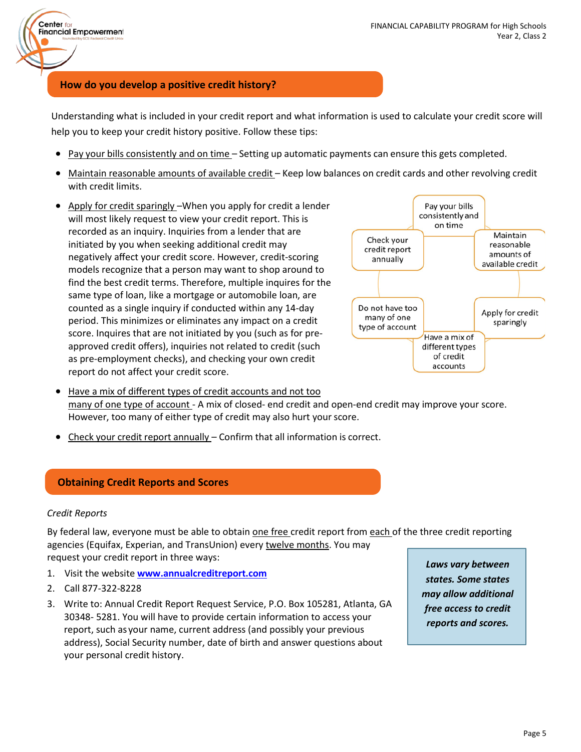## **How do you develop a positive credit history?**

Understanding what is included in your credit report and what information is used to calculate your credit score will help you to keep your credit history positive. Follow these tips:

- Pay your bills consistently and on time Setting up automatic payments can ensure this gets completed.
- Maintain reasonable amounts of available credit Keep low balances on credit cards and other revolving credit with credit limits.
- Apply for credit sparingly When you apply for credit a lender will most likely request to view your credit report. This is recorded as an inquiry. Inquiries from a lender that are initiated by you when seeking additional credit may negatively affect your credit score. However, credit‐scoring models recognize that a person may want to shop around to find the best credit terms. Therefore, multiple inquires for the same type of loan, like a mortgage or automobile loan, are counted as a single inquiry if conducted within any 14‐day period. This minimizes or eliminates any impact on a credit score. Inquires that are not initiated by you (such as for pre‐ approved credit offers), inquiries not related to credit (such as pre-employment checks), and checking your own credit report do not affect your credit score.



- Have a mix of different types of credit accounts and not too many of one type of account - A mix of closed- end credit and open-end credit may improve your score. However, too many of either type of credit may also hurt your score.
- Check your credit report annually Confirm that all information is correct.

#### **Obtaining Credit Reports and Scores**

#### *Credit Reports*

 $Center<sub>fo</sub>$ 

**Financial Empowerment** 

By federal law, everyone must be able to obtain one free credit report from each of the three credit reporting agencies (Equifax, Experian, and TransUnion) every twelve months. You may request your credit report in three ways:

- 1. Visit the website **[www.annualcreditreport.com](http://www.annualcreditreport.com/)**
- 2. Call 877‐322‐8228
- 3. Write to: Annual Credit Report Request Service, P.O. Box 105281, Atlanta, GA 30348‐ 5281. You will have to provide certain information to access your report, such as your name, current address (and possibly your previous address), Social Security number, date of birth and answer questions about your personal credit history.

*Laws vary between states. Some states may allow additional free access to credit reports and scores.*